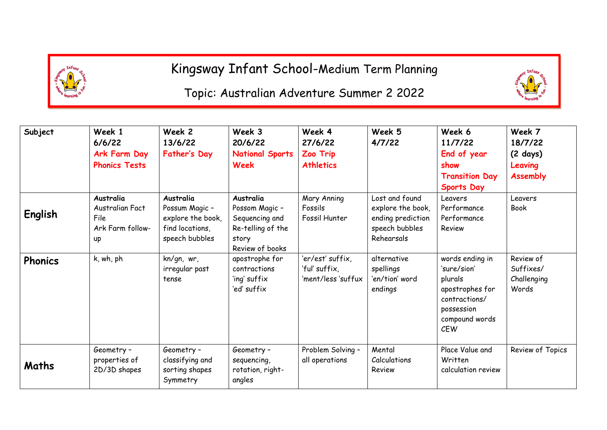

Kingsway Infant School-Medium Term Planning

## Topic: Australian Adventure Summer 2 2022

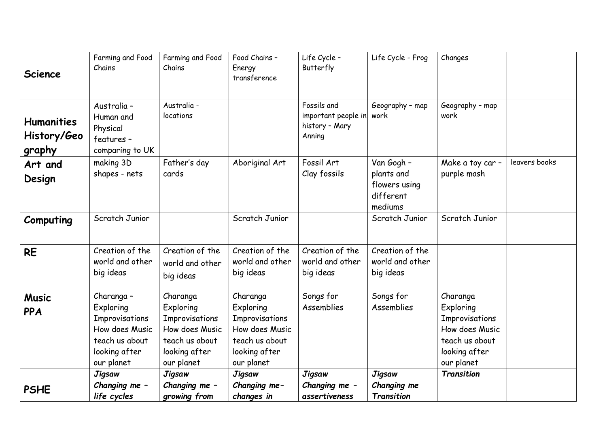| <b>Science</b>                             | Farming and Food<br>Chains                                                                                   | Farming and Food<br>Chains                                                                                 | Food Chains -<br>Energy<br>transference                                                                    | Life Cycle -<br>Butterfly                                      | Life Cycle - Frog                                                 | Changes                                                                                                    |               |
|--------------------------------------------|--------------------------------------------------------------------------------------------------------------|------------------------------------------------------------------------------------------------------------|------------------------------------------------------------------------------------------------------------|----------------------------------------------------------------|-------------------------------------------------------------------|------------------------------------------------------------------------------------------------------------|---------------|
| <b>Humanities</b><br>History/Geo<br>graphy | Australia -<br>Human and<br>Physical<br>features -<br>comparing to UK                                        | Australia -<br>locations                                                                                   |                                                                                                            | Fossils and<br>important people in<br>history - Mary<br>Anning | Geography - map<br>work                                           | Geography - map<br>work                                                                                    |               |
| Art and<br>Design                          | making 3D<br>shapes - nets                                                                                   | Father's day<br>cards                                                                                      | Aboriginal Art                                                                                             | Fossil Art<br>Clay fossils                                     | Van Gogh -<br>plants and<br>flowers using<br>different<br>mediums | Make a toy car -<br>purple mash                                                                            | leavers books |
| Computing                                  | Scratch Junior                                                                                               |                                                                                                            | Scratch Junior                                                                                             |                                                                | Scratch Junior                                                    | Scratch Junior                                                                                             |               |
| <b>RE</b>                                  | Creation of the<br>world and other<br>big ideas                                                              | Creation of the<br>world and other<br>big ideas                                                            | Creation of the<br>world and other<br>big ideas                                                            | Creation of the<br>world and other<br>big ideas                | Creation of the<br>world and other<br>big ideas                   |                                                                                                            |               |
| <b>Music</b><br><b>PPA</b>                 | Charanga -<br>Exploring<br>Improvisations<br>How does Music<br>teach us about<br>looking after<br>our planet | Charanga<br>Exploring<br>Improvisations<br>How does Music<br>teach us about<br>looking after<br>our planet | Charanga<br>Exploring<br>Improvisations<br>How does Music<br>teach us about<br>looking after<br>our planet | Songs for<br>Assemblies                                        | Songs for<br>Assemblies                                           | Charanga<br>Exploring<br>Improvisations<br>How does Music<br>teach us about<br>looking after<br>our planet |               |
| <b>PSHE</b>                                | <b>Jigsaw</b><br>Changing me -<br>life cycles                                                                | <b>Jigsaw</b><br>Changing me -<br>growing from                                                             | <b>Jigsaw</b><br>Changing me-<br>changes in                                                                | <b>Jigsaw</b><br>Changing me -<br>assertiveness                | <b>Jigsaw</b><br>Changing me<br>Transition                        | Transition                                                                                                 |               |